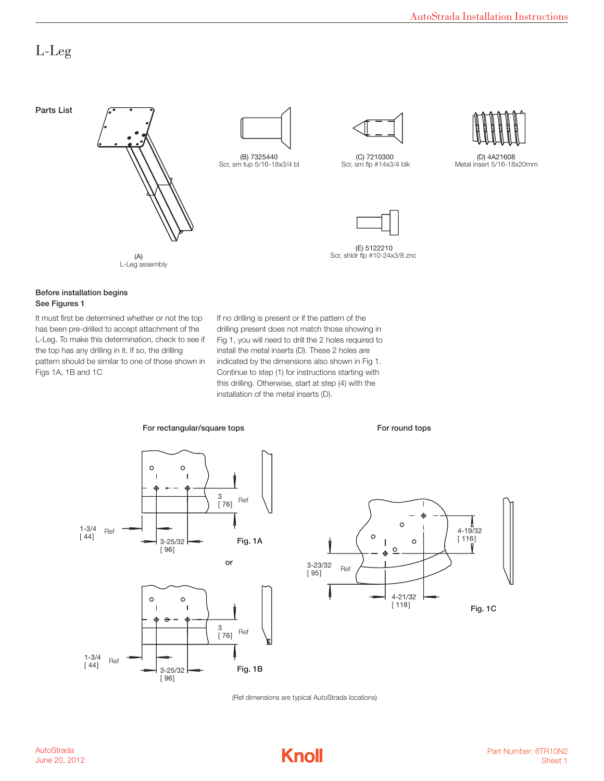## L-Leg



#### Before installation begins<br>See Finume 1 See Figures 1

has been pre-drilled to accept attachment of the drilling present does no pattern should be similar to one of those shown in indicated by the c It must first be determined whether or not the top L-Leg. To make this determination, check to see if the top has any drilling in it. If so, the drilling Figs 1A, 1B and 1C

any drilling in it. If so, the drilling install the metal inserts (D). These 2 holes are  $\frac{1}{2}$  this drilling. Otherwise, start at step (4) with the installation of the metal inserts (D). termined whether or not the top If no drilling is present or if the pattern of the his determination, check to see if Fig 1, you will need to drill the 2 holes required to e similar to one of those shown in indicated by the dimensions also shown in Fig 1. drilling present does not match those showing in Continue to step (1) for instructions starting with



 $[ 96]$ 

3-25/32 **Fig. 1B** 

A  $\circ$ 4-19/32  $\mathcal{L}$  $[ 116]$  $\perp$  $\circ$  $\circ$ ᅀ 3-23/32  $-$ Ref  $[ 95]$ [ ] 118  $\blacksquare$ 4-21/32  $[ 118]$ Fig. 1C

For round tops

(Ref dimensions are typical AutoStrada locations)

(REF DIMENSIONS ARE TYPICAL AUTOSTRADA LOCATIONS)

 $1 - 3/4$  $[44]$ 

Ref

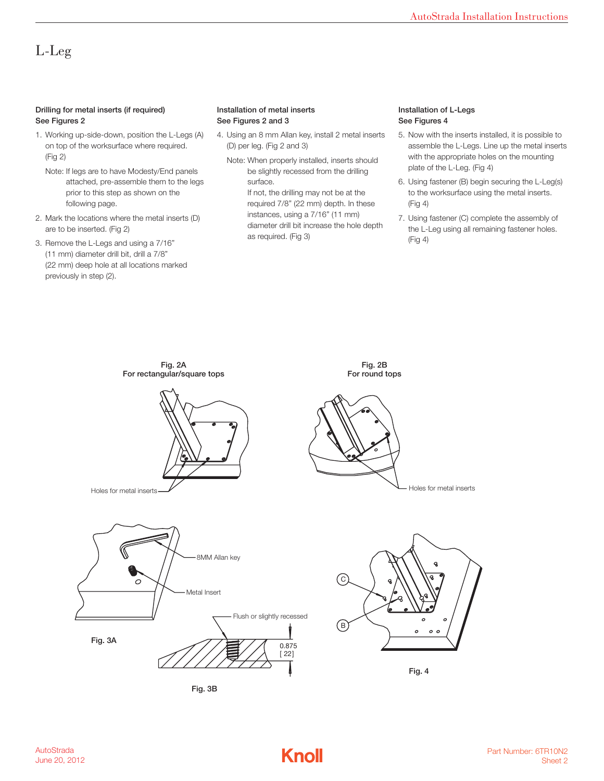# L-Leg

### Drilling for metal inserts (if required) **For a set of the Materia** lnstallation of n See Figures 2

- on top of the worksurface where required. (D) per leg. (Fig 2 and 3) assemble the L-Legs example the L-Legs Passemble the L-Legs Page. (Fig 2 and 3) 1. Working up-side-down, position the L-Legs (A) (Fig 2)
	- Note: If legs are to have Modesty/End panels<br>Note: If legs are to have Modesty/End panels<br>Note: If legs are to have Modesty/End panels attached, pre-assemble them to the legs surface. Surface busing fastener (B at All Locations of the Tags and 20 MM) being fastener (B and 20 MM) or  $\alpha$  at All Locations of the legs and  $\alpha$  and  $\alpha$  and  $\alpha$  and  $\alpha$  and prior to this step as shown on the following page.
- 2. Mark the locations where the metal inserts (D)  $\alpha$  are to be inserted. (Fig 2)  $\alpha$  and  $\alpha$  are  $\alpha$  and  $\alpha$  are  $\alpha$  and  $\alpha$   $\alpha$   $\alpha$
- 3. Remove the L-Legs and using a  $7/16"$   $\leq$   $\leq$   $\leq$   $\leq$   $\leq$   $\leq$   $\leq$   $\leq$   $\leq$   $\leq$   $\leq$   $\leq$   $\leq$   $\leq$   $\leq$   $\leq$   $\leq$   $\leq$   $\leq$   $\leq$   $\leq$   $\leq$   $\leq$   $\leq$   $\leq$   $\leq$   $\leq$   $\leq$   $\leq$   $\leq$  (11 mm) diameter drill bit, drill a 7/8" (12 MM) or a 7/8" (11 MM) diameter drill bit, drill a 7/8" (22 mm) deep hole at all locations marked previously in step (2).

#### Installation of metal inserts See Figures 2 and 3

- $\frac{1}{2}$  working up-side-down, position the matrix  $\frac{1}{2}$ 4. Using an 8 mm Allan key, install 2 metal inserts (D) per leg. (Fig 2 and 3)
	- Note: When properly installed, inserts should be slightly recessed from the drilling surface. If not, the drilling may not be at the required 7/8" (22 mm) depth. In these instances, using a 7/16" (11 mm) diameter drill bit increase the hole depth

as required. (Fig 3)

### Installation of L-Legs See Figures 4

- 5. Now with the inserts installed, it is possible to assemble the L-Legs. Line up the metal inserts with the appropriate holes on the mounting plate of the L-Leg. (Fig 4)
- 6. Using fastener (B) begin securing the L-Leg(s) to the worksurface using the metal inserts. (Fig 4)
- 7. Using fastener (C) complete the assembly of the L-Leg using all remaining fastener holes. (Fig 4)